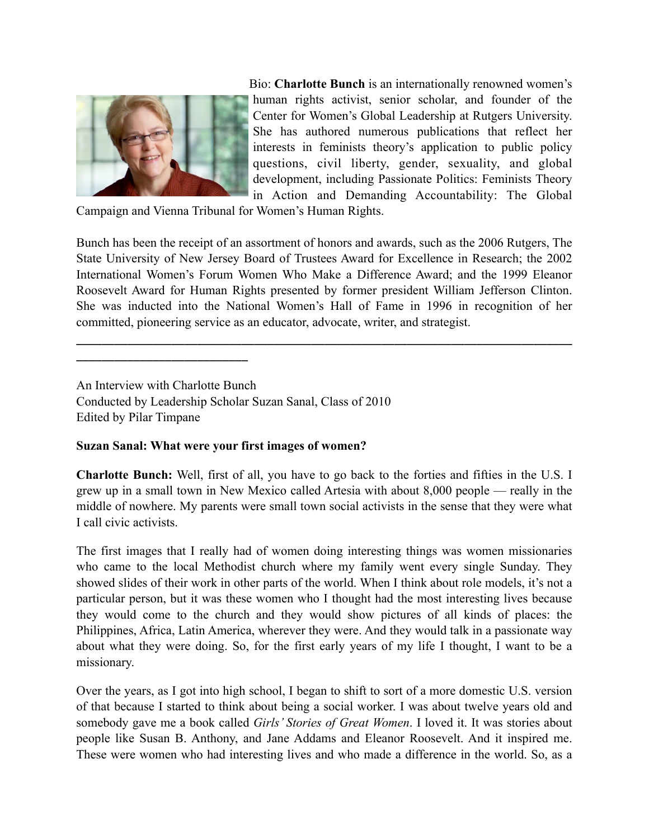

\_\_\_\_\_\_\_\_\_\_\_\_\_\_\_\_\_\_\_\_\_\_\_\_\_\_\_

Bio: **Charlotte Bunch** is an internationally renowned women's human rights activist, senior scholar, and founder of the Center for Women's Global Leadership at Rutgers University. She has authored numerous publications that reflect her interests in feminists theory's application to public policy questions, civil liberty, gender, sexuality, and global development, including Passionate Politics: Feminists Theory in Action and Demanding Accountability: The Global

Campaign and Vienna Tribunal for Women's Human Rights.

Bunch has been the receipt of an assortment of honors and awards, such as the 2006 Rutgers, The State University of New Jersey Board of Trustees Award for Excellence in Research; the 2002 International Women's Forum Women Who Make a Difference Award; and the 1999 Eleanor Roosevelt Award for Human Rights presented by former president William Jefferson Clinton. She was inducted into the National Women's Hall of Fame in 1996 in recognition of her committed, pioneering service as an educator, advocate, writer, and strategist.

\_\_\_\_\_\_\_\_\_\_\_\_\_\_\_\_\_\_\_\_\_\_\_\_\_\_\_\_\_\_\_\_\_\_\_\_\_\_\_\_\_\_\_\_\_\_\_\_\_\_\_\_\_\_\_\_\_\_\_\_\_\_\_\_\_\_\_\_\_\_\_\_\_\_\_\_\_\_

An Interview with Charlotte Bunch Conducted by Leadership Scholar Suzan Sanal, Class of 2010 Edited by Pilar Timpane

### **Suzan Sanal: What were your first images of women?**

**Charlotte Bunch:** Well, first of all, you have to go back to the forties and fifties in the U.S. I grew up in a small town in New Mexico called Artesia with about 8,000 people — really in the middle of nowhere. My parents were small town social activists in the sense that they were what I call civic activists.

The first images that I really had of women doing interesting things was women missionaries who came to the local Methodist church where my family went every single Sunday. They showed slides of their work in other parts of the world. When I think about role models, it's not a particular person, but it was these women who I thought had the most interesting lives because they would come to the church and they would show pictures of all kinds of places: the Philippines, Africa, Latin America, wherever they were. And they would talk in a passionate way about what they were doing. So, for the first early years of my life I thought, I want to be a missionary.

Over the years, as I got into high school, I began to shift to sort of a more domestic U.S. version of that because I started to think about being a social worker. I was about twelve years old and somebody gave me a book called *Girls' Stories of Great Women*. I loved it. It was stories about people like Susan B. Anthony, and Jane Addams and Eleanor Roosevelt. And it inspired me. These were women who had interesting lives and who made a difference in the world. So, as a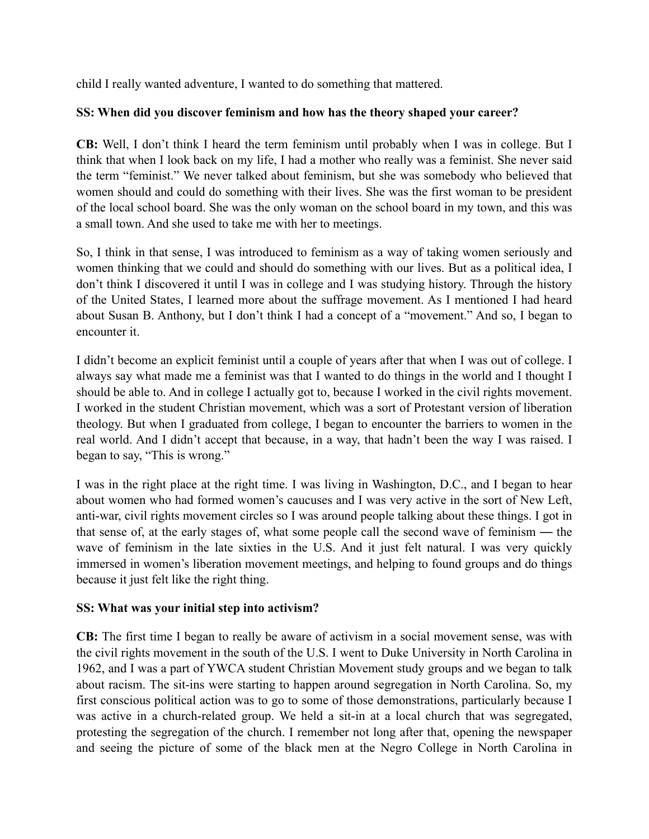child I really wanted adventure, I wanted to do something that mattered.

### **SS: When did you discover feminism and how has the theory shaped your career?**

**CB:** Well, I don't think I heard the term feminism until probably when I was in college. But I think that when I look back on my life, I had a mother who really was a feminist. She never said the term "feminist." We never talked about feminism, but she was somebody who believed that women should and could do something with their lives. She was the first woman to be president of the local school board. She was the only woman on the school board in my town, and this was a small town. And she used to take me with her to meetings.

So, I think in that sense, I was introduced to feminism as a way of taking women seriously and women thinking that we could and should do something with our lives. But as a political idea, I don't think I discovered it until I was in college and I was studying history. Through the history of the United States, I learned more about the suffrage movement. As I mentioned I had heard about Susan B. Anthony, but I don't think I had a concept of a "movement." And so, I began to encounter it.

I didn't become an explicit feminist until a couple of years after that when I was out of college. I always say what made me a feminist was that I wanted to do things in the world and I thought I should be able to. And in college I actually got to, because I worked in the civil rights movement. I worked in the student Christian movement, which was a sort of Protestant version of liberation theology. But when I graduated from college, I began to encounter the barriers to women in the real world. And I didn't accept that because, in a way, that hadn't been the way I was raised. I began to say, "This is wrong."

I was in the right place at the right time. I was living in Washington, D.C., and I began to hear about women who had formed women's caucuses and I was very active in the sort of New Left, anti-war, civil rights movement circles so I was around people talking about these things. I got in that sense of, at the early stages of, what some people call the second wave of feminism — the wave of feminism in the late sixties in the U.S. And it just felt natural. I was very quickly immersed in women's liberation movement meetings, and helping to found groups and do things because it just felt like the right thing.

### **SS: What was your initial step into activism?**

**CB:** The first time I began to really be aware of activism in a social movement sense, was with the civil rights movement in the south of the U.S. I went to Duke University in North Carolina in 1962, and I was a part of YWCA student Christian Movement study groups and we began to talk about racism. The sit-ins were starting to happen around segregation in North Carolina. So, my first conscious political action was to go to some of those demonstrations, particularly because I was active in a church-related group. We held a sit-in at a local church that was segregated, protesting the segregation of the church. I remember not long after that, opening the newspaper and seeing the picture of some of the black men at the Negro College in North Carolina in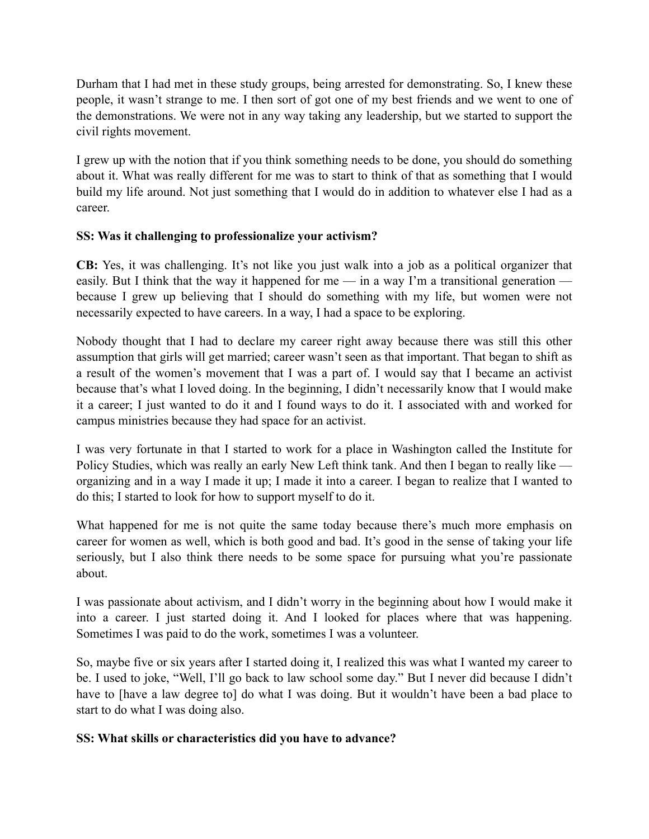Durham that I had met in these study groups, being arrested for demonstrating. So, I knew these people, it wasn't strange to me. I then sort of got one of my best friends and we went to one of the demonstrations. We were not in any way taking any leadership, but we started to support the civil rights movement.

I grew up with the notion that if you think something needs to be done, you should do something about it. What was really different for me was to start to think of that as something that I would build my life around. Not just something that I would do in addition to whatever else I had as a career.

## **SS: Was it challenging to professionalize your activism?**

**CB:** Yes, it was challenging. It's not like you just walk into a job as a political organizer that easily. But I think that the way it happened for me — in a way I'm a transitional generation because I grew up believing that I should do something with my life, but women were not necessarily expected to have careers. In a way, I had a space to be exploring.

Nobody thought that I had to declare my career right away because there was still this other assumption that girls will get married; career wasn't seen as that important. That began to shift as a result of the women's movement that I was a part of. I would say that I became an activist because that's what I loved doing. In the beginning, I didn't necessarily know that I would make it a career; I just wanted to do it and I found ways to do it. I associated with and worked for campus ministries because they had space for an activist.

I was very fortunate in that I started to work for a place in Washington called the Institute for Policy Studies, which was really an early New Left think tank. And then I began to really like organizing and in a way I made it up; I made it into a career. I began to realize that I wanted to do this; I started to look for how to support myself to do it.

What happened for me is not quite the same today because there's much more emphasis on career for women as well, which is both good and bad. It's good in the sense of taking your life seriously, but I also think there needs to be some space for pursuing what you're passionate about.

I was passionate about activism, and I didn't worry in the beginning about how I would make it into a career. I just started doing it. And I looked for places where that was happening. Sometimes I was paid to do the work, sometimes I was a volunteer.

So, maybe five or six years after I started doing it, I realized this was what I wanted my career to be. I used to joke, "Well, I'll go back to law school some day." But I never did because I didn't have to [have a law degree to] do what I was doing. But it wouldn't have been a bad place to start to do what I was doing also.

# **SS: What skills or characteristics did you have to advance?**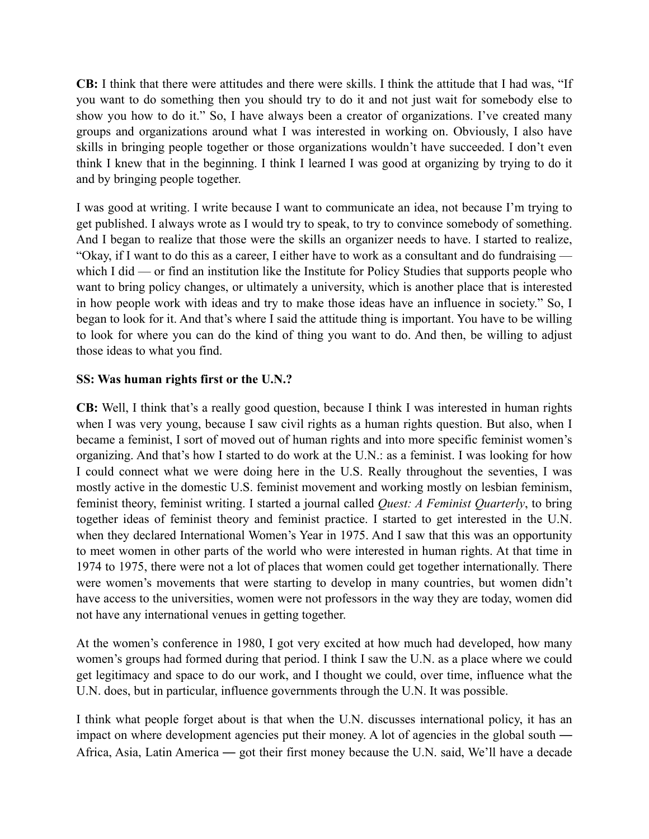**CB:** I think that there were attitudes and there were skills. I think the attitude that I had was, "If you want to do something then you should try to do it and not just wait for somebody else to show you how to do it." So, I have always been a creator of organizations. I've created many groups and organizations around what I was interested in working on. Obviously, I also have skills in bringing people together or those organizations wouldn't have succeeded. I don't even think I knew that in the beginning. I think I learned I was good at organizing by trying to do it and by bringing people together.

I was good at writing. I write because I want to communicate an idea, not because I'm trying to get published. I always wrote as I would try to speak, to try to convince somebody of something. And I began to realize that those were the skills an organizer needs to have. I started to realize, "Okay, if I want to do this as a career, I either have to work as a consultant and do fundraising which I did — or find an institution like the Institute for Policy Studies that supports people who want to bring policy changes, or ultimately a university, which is another place that is interested in how people work with ideas and try to make those ideas have an influence in society." So, I began to look for it. And that's where I said the attitude thing is important. You have to be willing to look for where you can do the kind of thing you want to do. And then, be willing to adjust those ideas to what you find.

### **SS: Was human rights first or the U.N.?**

**CB:** Well, I think that's a really good question, because I think I was interested in human rights when I was very young, because I saw civil rights as a human rights question. But also, when I became a feminist, I sort of moved out of human rights and into more specific feminist women's organizing. And that's how I started to do work at the U.N.: as a feminist. I was looking for how I could connect what we were doing here in the U.S. Really throughout the seventies, I was mostly active in the domestic U.S. feminist movement and working mostly on lesbian feminism, feminist theory, feminist writing. I started a journal called *Quest: A Feminist Quarterly*, to bring together ideas of feminist theory and feminist practice. I started to get interested in the U.N. when they declared International Women's Year in 1975. And I saw that this was an opportunity to meet women in other parts of the world who were interested in human rights. At that time in 1974 to 1975, there were not a lot of places that women could get together internationally. There were women's movements that were starting to develop in many countries, but women didn't have access to the universities, women were not professors in the way they are today, women did not have any international venues in getting together.

At the women's conference in 1980, I got very excited at how much had developed, how many women's groups had formed during that period. I think I saw the U.N. as a place where we could get legitimacy and space to do our work, and I thought we could, over time, influence what the U.N. does, but in particular, influence governments through the U.N. It was possible.

I think what people forget about is that when the U.N. discusses international policy, it has an impact on where development agencies put their money. A lot of agencies in the global south — Africa, Asia, Latin America — got their first money because the U.N. said, We'll have a decade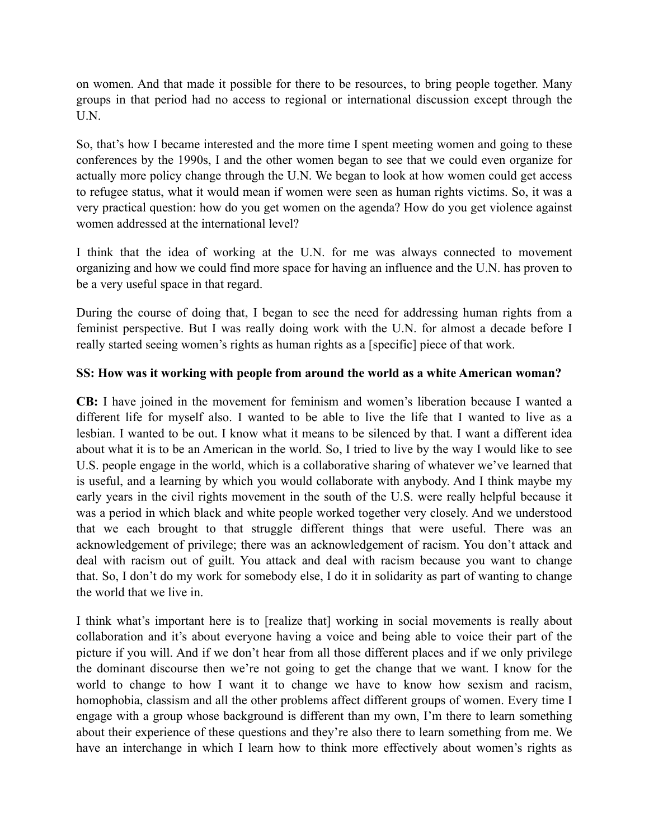on women. And that made it possible for there to be resources, to bring people together. Many groups in that period had no access to regional or international discussion except through the U.N.

So, that's how I became interested and the more time I spent meeting women and going to these conferences by the 1990s, I and the other women began to see that we could even organize for actually more policy change through the U.N. We began to look at how women could get access to refugee status, what it would mean if women were seen as human rights victims. So, it was a very practical question: how do you get women on the agenda? How do you get violence against women addressed at the international level?

I think that the idea of working at the U.N. for me was always connected to movement organizing and how we could find more space for having an influence and the U.N. has proven to be a very useful space in that regard.

During the course of doing that, I began to see the need for addressing human rights from a feminist perspective. But I was really doing work with the U.N. for almost a decade before I really started seeing women's rights as human rights as a [specific] piece of that work.

### **SS: How was it working with people from around the world as a white American woman?**

**CB:** I have joined in the movement for feminism and women's liberation because I wanted a different life for myself also. I wanted to be able to live the life that I wanted to live as a lesbian. I wanted to be out. I know what it means to be silenced by that. I want a different idea about what it is to be an American in the world. So, I tried to live by the way I would like to see U.S. people engage in the world, which is a collaborative sharing of whatever we've learned that is useful, and a learning by which you would collaborate with anybody. And I think maybe my early years in the civil rights movement in the south of the U.S. were really helpful because it was a period in which black and white people worked together very closely. And we understood that we each brought to that struggle different things that were useful. There was an acknowledgement of privilege; there was an acknowledgement of racism. You don't attack and deal with racism out of guilt. You attack and deal with racism because you want to change that. So, I don't do my work for somebody else, I do it in solidarity as part of wanting to change the world that we live in.

I think what's important here is to [realize that] working in social movements is really about collaboration and it's about everyone having a voice and being able to voice their part of the picture if you will. And if we don't hear from all those different places and if we only privilege the dominant discourse then we're not going to get the change that we want. I know for the world to change to how I want it to change we have to know how sexism and racism, homophobia, classism and all the other problems affect different groups of women. Every time I engage with a group whose background is different than my own, I'm there to learn something about their experience of these questions and they're also there to learn something from me. We have an interchange in which I learn how to think more effectively about women's rights as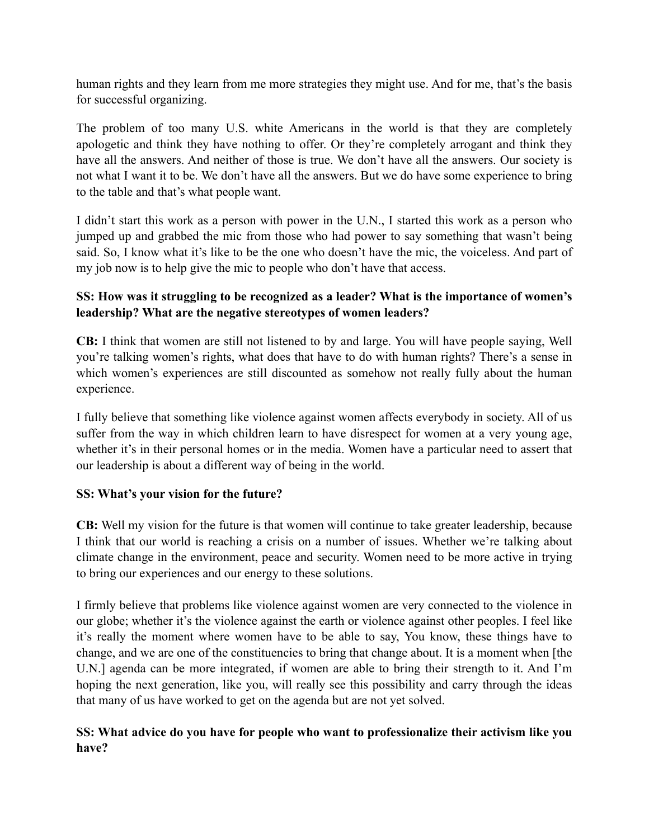human rights and they learn from me more strategies they might use. And for me, that's the basis for successful organizing.

The problem of too many U.S. white Americans in the world is that they are completely apologetic and think they have nothing to offer. Or they're completely arrogant and think they have all the answers. And neither of those is true. We don't have all the answers. Our society is not what I want it to be. We don't have all the answers. But we do have some experience to bring to the table and that's what people want.

I didn't start this work as a person with power in the U.N., I started this work as a person who jumped up and grabbed the mic from those who had power to say something that wasn't being said. So, I know what it's like to be the one who doesn't have the mic, the voiceless. And part of my job now is to help give the mic to people who don't have that access.

## **SS: How was it struggling to be recognized as a leader? What is the importance of women's leadership? What are the negative stereotypes of women leaders?**

**CB:** I think that women are still not listened to by and large. You will have people saying, Well you're talking women's rights, what does that have to do with human rights? There's a sense in which women's experiences are still discounted as somehow not really fully about the human experience.

I fully believe that something like violence against women affects everybody in society. All of us suffer from the way in which children learn to have disrespect for women at a very young age, whether it's in their personal homes or in the media. Women have a particular need to assert that our leadership is about a different way of being in the world.

### **SS: What's your vision for the future?**

**CB:** Well my vision for the future is that women will continue to take greater leadership, because I think that our world is reaching a crisis on a number of issues. Whether we're talking about climate change in the environment, peace and security. Women need to be more active in trying to bring our experiences and our energy to these solutions.

I firmly believe that problems like violence against women are very connected to the violence in our globe; whether it's the violence against the earth or violence against other peoples. I feel like it's really the moment where women have to be able to say, You know, these things have to change, and we are one of the constituencies to bring that change about. It is a moment when [the U.N.] agenda can be more integrated, if women are able to bring their strength to it. And I'm hoping the next generation, like you, will really see this possibility and carry through the ideas that many of us have worked to get on the agenda but are not yet solved.

# **SS: What advice do you have for people who want to professionalize their activism like you have?**